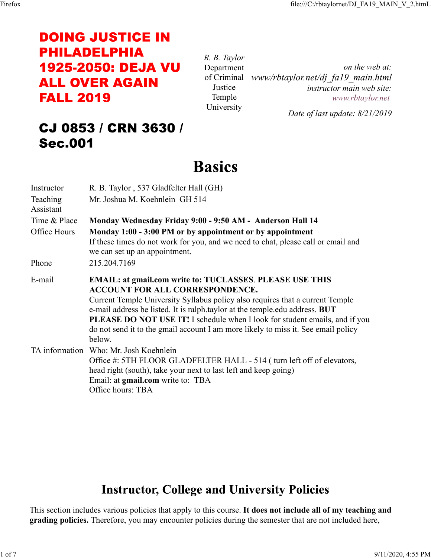# **DOING JUSTICE IN PHILADELPHIA 1925-2050: DEJA VU ALL OVER AGAIN FALL 2019**

*R. B. Taylor* Department of Criminal *www/rbtaylor.net/dj\_fa19\_main.html* Justice Temple University *on the web at: instructor main web site: www.rbtaylor.net Date of last update: 8/21/2019*

# CJ 0853 / CRN 3630 / **Sec.001**

# **Basics**

| Instructor                                                                                                                                                                                      | R. B. Taylor, 537 Gladfelter Hall (GH)                                                                                                                                                                                                                                                                                                                                                                                                                         |  |  |  |  |
|-------------------------------------------------------------------------------------------------------------------------------------------------------------------------------------------------|----------------------------------------------------------------------------------------------------------------------------------------------------------------------------------------------------------------------------------------------------------------------------------------------------------------------------------------------------------------------------------------------------------------------------------------------------------------|--|--|--|--|
| Teaching<br>Assistant                                                                                                                                                                           | Mr. Joshua M. Koehnlein GH 514                                                                                                                                                                                                                                                                                                                                                                                                                                 |  |  |  |  |
| Time & Place<br>Monday Wednesday Friday 9:00 - 9:50 AM - Anderson Hall 14                                                                                                                       |                                                                                                                                                                                                                                                                                                                                                                                                                                                                |  |  |  |  |
| Office Hours<br>Monday 1:00 - 3:00 PM or by appointment or by appointment<br>If these times do not work for you, and we need to chat, please call or email and<br>we can set up an appointment. |                                                                                                                                                                                                                                                                                                                                                                                                                                                                |  |  |  |  |
| Phone                                                                                                                                                                                           | 215.204.7169                                                                                                                                                                                                                                                                                                                                                                                                                                                   |  |  |  |  |
| E-mail                                                                                                                                                                                          | <b>EMAIL: at gmail.com write to: TUCLASSES. PLEASE USE THIS</b><br><b>ACCOUNT FOR ALL CORRESPONDENCE.</b><br>Current Temple University Syllabus policy also requires that a current Temple<br>e-mail address be listed. It is ralph taylor at the temple edu address. BUT<br><b>PLEASE DO NOT USE IT!</b> I schedule when I look for student emails, and if you<br>do not send it to the gmail account I am more likely to miss it. See email policy<br>below. |  |  |  |  |
|                                                                                                                                                                                                 | TA information Who: Mr. Josh Koehnlein<br>Office #: 5TH FLOOR GLADFELTER HALL - 514 ( turn left off of elevators,<br>head right (south), take your next to last left and keep going)<br>Email: at <b>gmail.com</b> write to: TBA<br>Office hours: TBA                                                                                                                                                                                                          |  |  |  |  |

# **Instructor, College and University Policies**

This section includes various policies that apply to this course. **It does not include all of my teaching and grading policies.** Therefore, you may encounter policies during the semester that are not included here,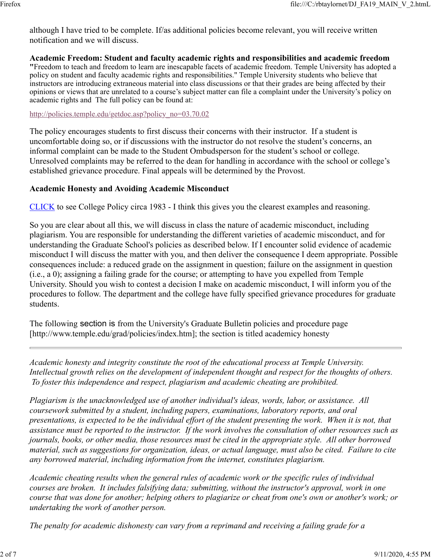although I have tried to be complete. If/as additional policies become relevant, you will receive written notification and we will discuss.

#### **Academic Freedom: Student and faculty academic rights and responsibilities and academic freedom**

**"**Freedom to teach and freedom to learn are inescapable facets of academic freedom. Temple University has adopted a policy on student and faculty academic rights and responsibilities." Temple University students who believe that instructors are introducing extraneous material into class discussions or that their grades are being affected by their opinions or views that are unrelated to a course's subject matter can file a complaint under the University's policy on academic rights and The full policy can be found at:

#### http://policies.temple.edu/getdoc.asp?policy\_no=03.70.02

The policy encourages students to first discuss their concerns with their instructor. If a student is uncomfortable doing so, or if discussions with the instructor do not resolve the student's concerns, an informal complaint can be made to the Student Ombudsperson for the student's school or college. Unresolved complaints may be referred to the dean for handling in accordance with the school or college's established grievance procedure. Final appeals will be determined by the Provost.

#### **Academic Honesty and Avoiding Academic Misconduct**

CLICK to see College Policy circa 1983 - I think this gives you the clearest examples and reasoning.

So you are clear about all this, we will discuss in class the nature of academic misconduct, including plagiarism. You are responsible for understanding the different varieties of academic misconduct, and for understanding the Graduate School's policies as described below. If I encounter solid evidence of academic misconduct I will discuss the matter with you, and then deliver the consequence I deem appropriate. Possible consequences include: a reduced grade on the assignment in question; failure on the assignment in question (i.e., a 0); assigning a failing grade for the course; or attempting to have you expelled from Temple University. Should you wish to contest a decision I make on academic misconduct, I will inform you of the procedures to follow. The department and the college have fully specified grievance procedures for graduate students.

The following section is from the University's Graduate Bulletin policies and procedure page [http://www.temple.edu/grad/policies/index.htm]; the section is titled academicy honesty

*Academic honesty and integrity constitute the root of the educational process at Temple University. Intellectual growth relies on the development of independent thought and respect for the thoughts of others. To foster this independence and respect, plagiarism and academic cheating are prohibited.*

*Plagiarism is the unacknowledged use of another individual's ideas, words, labor, or assistance. All coursework submitted by a student, including papers, examinations, laboratory reports, and oral presentations, is expected to be the individual effort of the student presenting the work. When it is not, that assistance must be reported to the instructor. If the work involves the consultation of other resources such as journals, books, or other media, those resources must be cited in the appropriate style. All other borrowed material, such as suggestions for organization, ideas, or actual language, must also be cited. Failure to cite any borrowed material, including information from the internet, constitutes plagiarism.*

*Academic cheating results when the general rules of academic work or the specific rules of individual courses are broken. It includes falsifying data; submitting, without the instructor's approval, work in one course that was done for another; helping others to plagiarize or cheat from one's own or another's work; or undertaking the work of another person.*

*The penalty for academic dishonesty can vary from a reprimand and receiving a failing grade for a*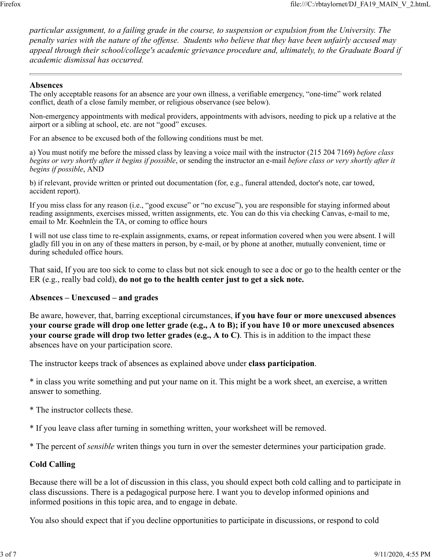*particular assignment, to a failing grade in the course, to suspension or expulsion from the University. The penalty varies with the nature of the offense. Students who believe that they have been unfairly accused may appeal through their school/college's academic grievance procedure and, ultimately, to the Graduate Board if academic dismissal has occurred.*

#### **Absences**

The only acceptable reasons for an absence are your own illness, a verifiable emergency, "one-time" work related conflict, death of a close family member, or religious observance (see below).

Non-emergency appointments with medical providers, appointments with advisors, needing to pick up a relative at the airport or a sibling at school, etc. are not "good" excuses.

For an absence to be excused both of the following conditions must be met.

a) You must notify me before the missed class by leaving a voice mail with the instructor (215 204 7169) *before class begins or very shortly after it begins if possible*, or sending the instructor an e-mail *before class or very shortly after it begins if possible*, AND

b) if relevant, provide written or printed out documentation (for, e.g., funeral attended, doctor's note, car towed, accident report).

If you miss class for any reason (i.e., "good excuse" or "no excuse"), you are responsible for staying informed about reading assignments, exercises missed, written assignments, etc. You can do this via checking Canvas, e-mail to me, email to Mr. Koehnlein the TA, or coming to office hours

I will not use class time to re-explain assignments, exams, or repeat information covered when you were absent. I will gladly fill you in on any of these matters in person, by e-mail, or by phone at another, mutually convenient, time or during scheduled office hours.

That said, If you are too sick to come to class but not sick enough to see a doc or go to the health center or the ER (e.g., really bad cold), **do not go to the health center just to get a sick note.**

#### **Absences – Unexcused – and grades**

Be aware, however, that, barring exceptional circumstances, **if you have four or more unexcused absences your course grade will drop one letter grade (e.g., A to B); if you have 10 or more unexcused absences your course grade will drop two letter grades (e.g., A to C)**. This is in addition to the impact these absences have on your participation score.

The instructor keeps track of absences as explained above under **class participation**.

\* in class you write something and put your name on it. This might be a work sheet, an exercise, a written answer to something.

- \* The instructor collects these.
- \* If you leave class after turning in something written, your worksheet will be removed.
- \* The percent of *sensible* writen things you turn in over the semester determines your participation grade.

#### **Cold Calling**

Because there will be a lot of discussion in this class, you should expect both cold calling and to participate in class discussions. There is a pedagogical purpose here. I want you to develop informed opinions and informed positions in this topic area, and to engage in debate.

You also should expect that if you decline opportunities to participate in discussions, or respond to cold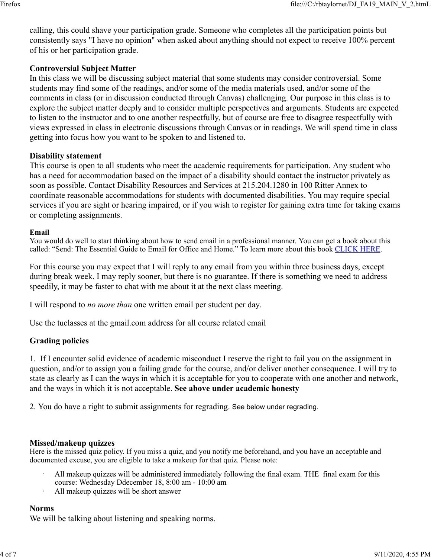calling, this could shave your participation grade. Someone who completes all the participation points but consistently says "I have no opinion" when asked about anything should not expect to receive 100% percent of his or her participation grade.

#### **Controversial Subject Matter**

In this class we will be discussing subject material that some students may consider controversial. Some students may find some of the readings, and/or some of the media materials used, and/or some of the comments in class (or in discussion conducted through Canvas) challenging. Our purpose in this class is to explore the subject matter deeply and to consider multiple perspectives and arguments. Students are expected to listen to the instructor and to one another respectfully, but of course are free to disagree respectfully with views expressed in class in electronic discussions through Canvas or in readings. We will spend time in class getting into focus how you want to be spoken to and listened to.

#### **Disability statement**

This course is open to all students who meet the academic requirements for participation. Any student who has a need for accommodation based on the impact of a disability should contact the instructor privately as soon as possible. Contact Disability Resources and Services at 215.204.1280 in 100 Ritter Annex to coordinate reasonable accommodations for students with documented disabilities. You may require special services if you are sight or hearing impaired, or if you wish to register for gaining extra time for taking exams or completing assignments.

#### **Email**

You would do well to start thinking about how to send email in a professional manner. You can get a book about this called: "Send: The Essential Guide to Email for Office and Home." To learn more about this book CLICK HERE.

For this course you may expect that I will reply to any email from you within three business days, except during break week. I may reply sooner, but there is no guarantee. If there is something we need to address speedily, it may be faster to chat with me about it at the next class meeting.

I will respond to *no more than* one written email per student per day.

Use the tuclasses at the gmail.com address for all course related email

#### **Grading policies**

1. If I encounter solid evidence of academic misconduct I reserve the right to fail you on the assignment in question, and/or to assign you a failing grade for the course, and/or deliver another consequence. I will try to state as clearly as I can the ways in which it is acceptable for you to cooperate with one another and network, and the ways in which it is not acceptable. **See above under academic honesty**

2. You do have a right to submit assignments for regrading. See below under regrading.

#### **Missed/makeup quizzes**

Here is the missed quiz policy. If you miss a quiz, and you notify me beforehand, and you have an acceptable and documented excuse, you are eligible to take a makeup for that quiz. Please note:

- ꞏ All makeup quizzes will be administered immediately following the final exam. THE final exam for this course: Wednesday Ddecember 18, 8:00 am - 10:00 am
- ꞏ All makeup quizzes will be short answer

#### **Norms**

We will be talking about listening and speaking norms.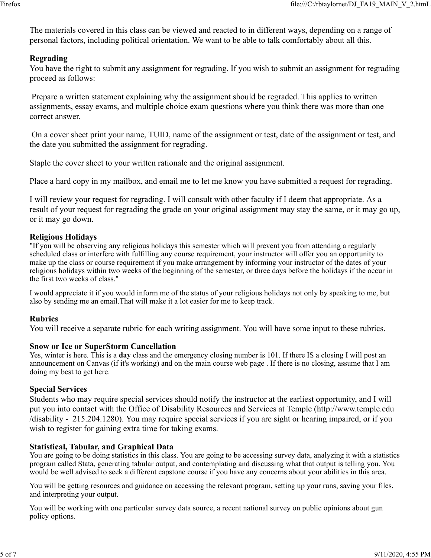The materials covered in this class can be viewed and reacted to in different ways, depending on a range of personal factors, including political orientation. We want to be able to talk comfortably about all this.

#### **Regrading**

You have the right to submit any assignment for regrading. If you wish to submit an assignment for regrading proceed as follows:

 Prepare a written statement explaining why the assignment should be regraded. This applies to written assignments, essay exams, and multiple choice exam questions where you think there was more than one correct answer.

 On a cover sheet print your name, TUID, name of the assignment or test, date of the assignment or test, and the date you submitted the assignment for regrading.

Staple the cover sheet to your written rationale and the original assignment.

Place a hard copy in my mailbox, and email me to let me know you have submitted a request for regrading.

I will review your request for regrading. I will consult with other faculty if I deem that appropriate. As a result of your request for regrading the grade on your original assignment may stay the same, or it may go up, or it may go down.

#### **Religious Holidays**

"If you will be observing any religious holidays this semester which will prevent you from attending a regularly scheduled class or interfere with fulfilling any course requirement, your instructor will offer you an opportunity to make up the class or course requirement if you make arrangement by informing your instructor of the dates of your religious holidays within two weeks of the beginning of the semester, or three days before the holidays if the occur in the first two weeks of class."

I would appreciate it if you would inform me of the status of your religious holidays not only by speaking to me, but also by sending me an email.That will make it a lot easier for me to keep track.

#### **Rubrics**

You will receive a separate rubric for each writing assignment. You will have some input to these rubrics.

#### **Snow or Ice or SuperStorm Cancellation**

Yes, winter is here. This is a **day** class and the emergency closing number is 101. If there IS a closing I will post an announcement on Canvas (if it's working) and on the main course web page . If there is no closing, assume that I am doing my best to get here.

#### **Special Services**

Students who may require special services should notify the instructor at the earliest opportunity, and I will put you into contact with the Office of Disability Resources and Services at Temple (http://www.temple.edu /disability - 215.204.1280). You may require special services if you are sight or hearing impaired, or if you wish to register for gaining extra time for taking exams.

#### **Statistical, Tabular, and Graphical Data**

You are going to be doing statistics in this class. You are going to be accessing survey data, analyzing it with a statistics program called Stata, generating tabular output, and contemplating and discussing what that output is telling you. You would be well advised to seek a different capstone course if you have any concerns about your abilities in this area.

You will be getting resources and guidance on accessing the relevant program, setting up your runs, saving your files, and interpreting your output.

You will be working with one particular survey data source, a recent national survey on public opinions about gun policy options.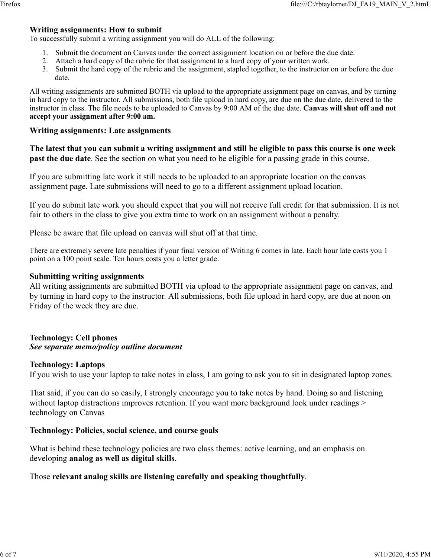#### **Writing assignments: How to submit**

To successfully submit a writing assignment you will do ALL of the following:

- 1. Submit the document on Canvas under the correct assignment location on or before the due date.
- 2. Attach a hard copy of the rubric for that assignment to a hard copy of your written work.
- 3. Submit the hard copy of the rubric and the assignment, stapled together, to the instructor on or before the due date.

All writing assignments are submitted BOTH via upload to the appropriate assignment page on canvas, and by turning in hard copy to the instructor. All submissions, both file upload in hard copy, are due on the due date, delivered to the instructor in class. The file needs to be uploaded to Canvas by 9:00 AM of the due date. **Canvas will shut off and not accept your assignment after 9:00 am.**

#### **Writing assignments: Late assignments**

**The latest that you can submit a writing assignment and still be eligible to pass this course is one week past the due date**. See the section on what you need to be eligible for a passing grade in this course.

If you are submitting late work it still needs to be uploaded to an appropriate location on the canvas assignment page. Late submissions will need to go to a different assignment upload location.

If you do submit late work you should expect that you will not receive full credit for that submission. It is not fair to others in the class to give you extra time to work on an assignment without a penalty.

Please be aware that file upload on canvas will shut off at that time.

There are extremely severe late penalties if your final version of Writing 6 comes in late. Each hour late costs you 1 point on a 100 point scale. Ten hours costs you a letter grade.

#### **Submitting writing assignments**

All writing assignments are submitted BOTH via upload to the appropriate assignment page on canvas, and by turning in hard copy to the instructor. All submissions, both file upload in hard copy, are due at noon on Friday of the week they are due.

#### **Technology: Cell phones** *See separate memo/policy outline document*

#### **Technology: Laptops**

If you wish to use your laptop to take notes in class, I am going to ask you to sit in designated laptop zones.

That said, if you can do so easily, I strongly encourage you to take notes by hand. Doing so and listening without laptop distractions improves retention. If you want more background look under readings > technology on Canvas

#### **Technology: Policies, social science, and course goals**

What is behind these technology policies are two class themes: active learning, and an emphasis on developing **analog as well as digital skills**.

#### Those **relevant analog skills are listening carefully and speaking thoughtfully**.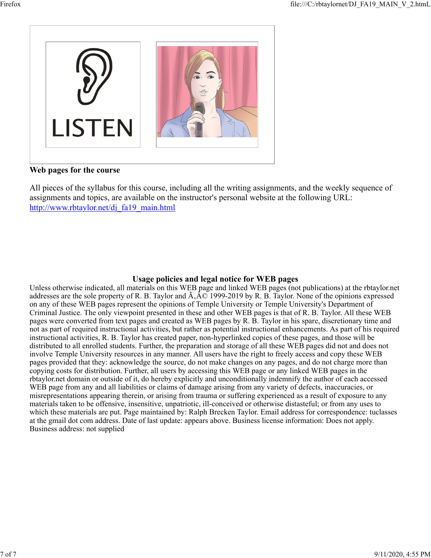

**Web pages for the course**

All pieces of the syllabus for this course, including all the writing assignments, and the weekly sequence of assignments and topics, are available on the instructor's personal website at the following URL: http://www.rbtaylor.net/dj\_fa19\_main.html

#### **Usage policies and legal notice for WEB pages**

Unless otherwise indicated, all materials on this WEB page and linked WEB pages (not publications) at the rbtaylor.net addresses are the sole property of R. B. Taylor and  $\tilde{A}$ ,  $\hat{A}$  ( $\heartsuit$  1999-2019 by R. B. Taylor. None of the opinions expressed on any of these WEB pages represent the opinions of Temple University or Temple University's Department of Criminal Justice. The only viewpoint presented in these and other WEB pages is that of R. B. Taylor. All these WEB pages were converted from text pages and created as WEB pages by R. B. Taylor in his spare, discretionary time and not as part of required instructional activities, but rather as potential instructional enhancements. As part of his required instructional activities, R. B. Taylor has created paper, non-hyperlinked copies of these pages, and those will be distributed to all enrolled students. Further, the preparation and storage of all these WEB pages did not and does not involve Temple University resources in any manner. All users have the right to freely access and copy these WEB pages provided that they: acknowledge the source, do not make changes on any pages, and do not charge more than copying costs for distribution. Further, all users by accessing this WEB page or any linked WEB pages in the rbtaylor.net domain or outside of it, do hereby explicitly and unconditionally indemnify the author of each accessed WEB page from any and all liabilities or claims of damage arising from any variety of defects, inaccuracies, or misrepresentations appearing therein, or arising from trauma or suffering experienced as a result of exposure to any materials taken to be offensive, insensitive, unpatriotic, ill-conceived or otherwise distasteful; or from any uses to which these materials are put. Page maintained by: Ralph Brecken Taylor. Email address for correspondence: tuclasses at the gmail dot com address. Date of last update: appears above. Business license information: Does not apply. Business address: not supplied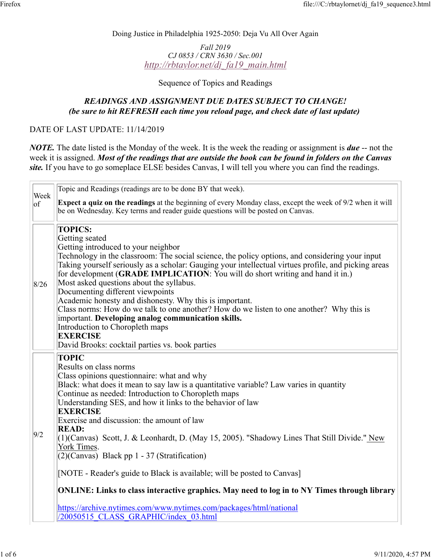Doing Justice in Philadelphia 1925-2050: Deja Vu All Over Again

*Fall 2019 CJ 0853 / CRN 3630 / Sec.001 http://rbtaylor.net/dj\_fa19\_main.html*

Sequence of Topics and Readings

### *READINGS AND ASSIGNMENT DUE DATES SUBJECT TO CHANGE! (be sure to hit REFRESH each time you reload page, and check date of last update)*

DATE OF LAST UPDATE: 11/14/2019

*NOTE.* The date listed is the Monday of the week. It is the week the reading or assignment is *due* -- not the week it is assigned. *Most of the readings that are outside the book can be found in folders on the Canvas site.* If you have to go someplace ELSE besides Canvas, I will tell you where you can find the readings.

|                  | Topic and Readings (readings are to be done BY that week).                                                                                                                                                                                                                                                                                                                                                                                                                                                                                                                                                                                                                                                                                                                                                |  |  |  |  |
|------------------|-----------------------------------------------------------------------------------------------------------------------------------------------------------------------------------------------------------------------------------------------------------------------------------------------------------------------------------------------------------------------------------------------------------------------------------------------------------------------------------------------------------------------------------------------------------------------------------------------------------------------------------------------------------------------------------------------------------------------------------------------------------------------------------------------------------|--|--|--|--|
| Week<br>$ _{of}$ | Expect a quiz on the readings at the beginning of every Monday class, except the week of 9/2 when it will<br>be on Wednesday. Key terms and reader guide questions will be posted on Canvas.                                                                                                                                                                                                                                                                                                                                                                                                                                                                                                                                                                                                              |  |  |  |  |
| 8/26             | <b>TOPICS:</b><br>Getting seated<br>Getting introduced to your neighbor<br>Technology in the classroom: The social science, the policy options, and considering your input<br>Taking yourself seriously as a scholar: Gauging your intellectual virtues profile, and picking areas<br>for development (GRADE IMPLICATION: You will do short writing and hand it in.)<br>Most asked questions about the syllabus.<br>Documenting different viewpoints<br>Academic honesty and dishonesty. Why this is important.<br>Class norms: How do we talk to one another? How do we listen to one another? Why this is<br>important. Developing analog communication skills.<br>Introduction to Choropleth maps<br><b>EXERCISE</b><br>David Brooks: cocktail parties vs. book parties                                |  |  |  |  |
| 9/2              | <b>TOPIC</b><br>Results on class norms<br>Class opinions questionnaire: what and why<br>Black: what does it mean to say law is a quantitative variable? Law varies in quantity<br>Continue as needed: Introduction to Choropleth maps<br>Understanding SES, and how it links to the behavior of law<br><b>EXERCISE</b><br>Exercise and discussion: the amount of law<br><b>READ:</b><br>$(1)$ (Canvas) Scott, J. & Leonhardt, D. (May 15, 2005). "Shadowy Lines That Still Divide." New<br>York Times.<br>$(2)$ (Canvas) Black pp 1 - 37 (Stratification)<br>[NOTE - Reader's guide to Black is available; will be posted to Canvas]<br>ONLINE: Links to class interactive graphics. May need to log in to NY Times through library<br>https://archive.nytimes.com/www.nytimes.com/packages/html/national |  |  |  |  |
|                  | /20050515 CLASS GRAPHIC/index 03.html                                                                                                                                                                                                                                                                                                                                                                                                                                                                                                                                                                                                                                                                                                                                                                     |  |  |  |  |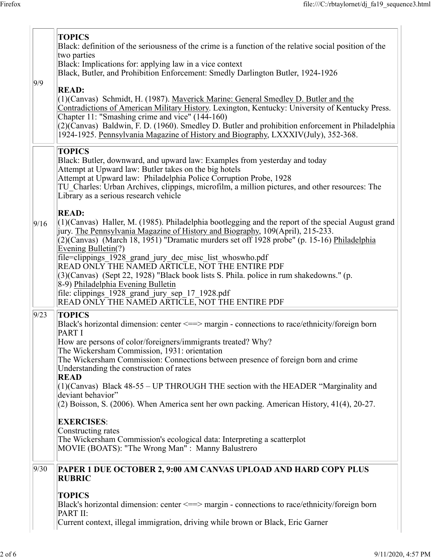| 9/9  | <b>TOPICS</b><br>Black: definition of the seriousness of the crime is a function of the relative social position of the<br>two parties<br>Black: Implications for: applying law in a vice context<br>Black, Butler, and Prohibition Enforcement: Smedly Darlington Butler, 1924-1926                                                                                                                                                                                                                                                                                                                                                                                              |  |  |  |  |
|------|-----------------------------------------------------------------------------------------------------------------------------------------------------------------------------------------------------------------------------------------------------------------------------------------------------------------------------------------------------------------------------------------------------------------------------------------------------------------------------------------------------------------------------------------------------------------------------------------------------------------------------------------------------------------------------------|--|--|--|--|
|      | <b>READ:</b><br>(1)(Canvas) Schmidt, H. (1987). Maverick Marine: General Smedley D. Butler and the<br>Contradictions of American Military History. Lexington, Kentucky: University of Kentucky Press.<br>Chapter 11: "Smashing crime and vice" (144-160)<br>$(2)$ (Canvas) Baldwin, F. D. (1960). Smedley D. Butler and prohibition enforcement in Philadelphia<br>1924-1925. Pennsylvania Magazine of History and Biography, LXXXIV(July), 352-368.                                                                                                                                                                                                                              |  |  |  |  |
|      | <b>TOPICS</b><br>Black: Butler, downward, and upward law: Examples from yesterday and today<br>Attempt at Upward law: Butler takes on the big hotels<br>Attempt at Upward law: Philadelphia Police Corruption Probe, 1928<br>TU Charles: Urban Archives, clippings, microfilm, a million pictures, and other resources: The<br>Library as a serious research vehicle                                                                                                                                                                                                                                                                                                              |  |  |  |  |
| 9/16 | <b>READ:</b><br>$(1)$ (Canvas) Haller, M. (1985). Philadelphia bootlegging and the report of the special August grand<br>jury. The Pennsylvania Magazine of History and Biography, 109(April), 215-233.<br>(2)(Canvas) (March 18, 1951) "Dramatic murders set off 1928 probe" (p. 15-16) Philadelphia<br>Evening Bulletin(?)<br>file=clippings_1928_grand_jury_dec_misc_list_whoswho.pdf<br>READ ONLY THE NAMED ARTICLE, NOT THE ENTIRE PDF<br>(3)(Canvas) (Sept 22, 1928) "Black book lists S. Phila. police in rum shakedowns." (p.<br>8-9) Philadelphia Evening Bulletin<br>file: clippings_1928_grand_jury_sep_17_1928.pdf<br>READ ONLY THE NAMED ARTICLE, NOT THE ENTIRE PDF |  |  |  |  |
| 9/23 | <b>TOPICS</b><br>Black's horizontal dimension: center $\leq =>$ margin - connections to race/ethnicity/foreign born<br>PART I<br>How are persons of color/foreigners/immigrants treated? Why?<br>The Wickersham Commission, 1931: orientation<br>The Wickersham Commission: Connections between presence of foreign born and crime<br>Understanding the construction of rates                                                                                                                                                                                                                                                                                                     |  |  |  |  |
|      | <b>READ</b><br>$(1)$ (Canvas) Black 48-55 – UP THROUGH THE section with the HEADER "Marginality and<br>deviant behavior"<br>$(2)$ Boisson, S. (2006). When America sent her own packing. American History, 41(4), 20-27.<br><b>EXERCISES:</b><br>Constructing rates<br>The Wickersham Commission's ecological data: Interpreting a scatterplot                                                                                                                                                                                                                                                                                                                                    |  |  |  |  |
| 9/30 | MOVIE (BOATS): "The Wrong Man" : Manny Balustrero<br>PAPER 1 DUE OCTOBER 2, 9:00 AM CANVAS UPLOAD AND HARD COPY PLUS<br><b>RUBRIC</b>                                                                                                                                                                                                                                                                                                                                                                                                                                                                                                                                             |  |  |  |  |
|      | <b>TOPICS</b><br>Black's horizontal dimension: center $\leq=\geq$ margin - connections to race/ethnicity/foreign born<br>PART II:<br>Current context, illegal immigration, driving while brown or Black, Eric Garner                                                                                                                                                                                                                                                                                                                                                                                                                                                              |  |  |  |  |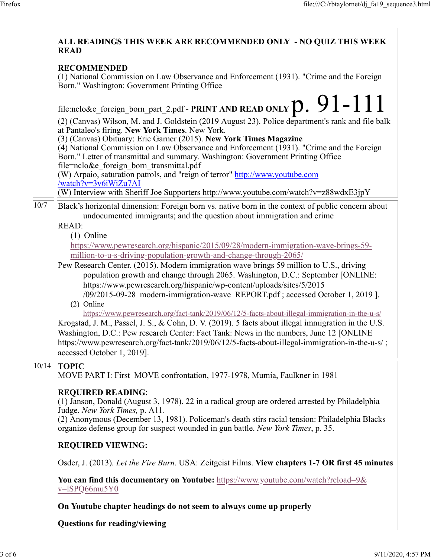| ALL READINGS THIS WEEK ARE RECOMMENDED ONLY - NO QUIZ THIS WEEK<br><b>READ</b>                                                                                                                                                                                                                                                                                                                                                                                                                                                                                 |
|----------------------------------------------------------------------------------------------------------------------------------------------------------------------------------------------------------------------------------------------------------------------------------------------------------------------------------------------------------------------------------------------------------------------------------------------------------------------------------------------------------------------------------------------------------------|
| <b>RECOMMENDED</b><br>(1) National Commission on Law Observance and Enforcement (1931). "Crime and the Foreign<br>Born." Washington: Government Printing Office                                                                                                                                                                                                                                                                                                                                                                                                |
| file:nclo&e_foreign_born_part_2.pdf - PRINT AND READ ONLY $\mathbf{p.} \ 91$ – $111$                                                                                                                                                                                                                                                                                                                                                                                                                                                                           |
| (2) (Canvas) Wilson, M. and J. Goldstein (2019 August 23). Police department's rank and file balk<br>at Pantaleo's firing. New York Times. New York.<br>(3) (Canvas) Obituary: Eric Garner (2015). New York Times Magazine<br>(4) National Commission on Law Observance and Enforcement (1931). "Crime and the Foreign<br>Born." Letter of transmittal and summary. Washington: Government Printing Office<br>file=nclo&e foreign born transmittal.pdf<br>(W) Arpaio, saturation patrols, and "reign of terror" http://www.youtube.com<br>/watch?v=3v6iWiZu7AI |
| (W) Interview with Sheriff Joe Supporters http://www.youtube.com/watch?v=z88wdxE3jpY                                                                                                                                                                                                                                                                                                                                                                                                                                                                           |
| 10/7<br>Black's horizontal dimension: Foreign born vs. native born in the context of public concern about<br>undocumented immigrants; and the question about immigration and crime<br>READ:                                                                                                                                                                                                                                                                                                                                                                    |
| $(1)$ Online<br>https://www.pewresearch.org/hispanic/2015/09/28/modern-immigration-wave-brings-59-<br>million-to-u-s-driving-population-growth-and-change-through-2065/                                                                                                                                                                                                                                                                                                                                                                                        |
| Pew Research Center. (2015). Modern immigration wave brings 59 million to U.S., driving<br>population growth and change through 2065. Washington, D.C.: September [ONLINE:<br>https://www.pewresearch.org/hispanic/wp-content/uploads/sites/5/2015<br>/09/2015-09-28 modern-immigration-wave REPORT.pdf; accessed October 1, 2019 ].<br>(2) Online                                                                                                                                                                                                             |
| https://www.pewresearch.org/fact-tank/2019/06/12/5-facts-about-illegal-immigration-in-the-u-s/<br>Krogstad, J. M., Passel, J. S., & Cohn, D. V. (2019). 5 facts about illegal immigration in the U.S.<br>Washington, D.C.: Pew research Center: Fact Tank: News in the numbers, June 12 [ONLINE<br>https://www.pewresearch.org/fact-tank/2019/06/12/5-facts-about-illegal-immigration-in-the-u-s/;<br>accessed October 1, 2019].                                                                                                                               |
| 10/14<br><b>TOPIC</b><br>MOVE PART I: First MOVE confrontation, 1977-1978, Mumia, Faulkner in 1981                                                                                                                                                                                                                                                                                                                                                                                                                                                             |
| <b>REQUIRED READING:</b><br>(1) Janson, Donald (August 3, 1978). 22 in a radical group are ordered arrested by Philadelphia<br>Judge. New York Times, p. A11.<br>(2) Anonymous (December 13, 1981). Policeman's death stirs racial tension: Philadelphia Blacks<br>organize defense group for suspect wounded in gun battle. New York Times, p. 35.                                                                                                                                                                                                            |
| <b>REQUIRED VIEWING:</b>                                                                                                                                                                                                                                                                                                                                                                                                                                                                                                                                       |
| Osder, J. (2013). Let the Fire Burn. USA: Zeitgeist Films. View chapters 1-7 OR first 45 minutes                                                                                                                                                                                                                                                                                                                                                                                                                                                               |
| You can find this documentary on Youtube: https://www.youtube.com/watch?reload=9&<br>v=lSPQ66mu5Y0                                                                                                                                                                                                                                                                                                                                                                                                                                                             |
| On Youtube chapter headings do not seem to always come up properly                                                                                                                                                                                                                                                                                                                                                                                                                                                                                             |
| Questions for reading/viewing                                                                                                                                                                                                                                                                                                                                                                                                                                                                                                                                  |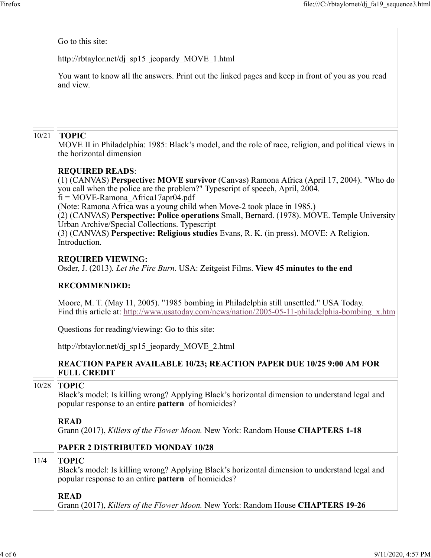|       | Go to this site:                                                                                                                                                                                                                                                                                                        |  |  |  |  |  |  |
|-------|-------------------------------------------------------------------------------------------------------------------------------------------------------------------------------------------------------------------------------------------------------------------------------------------------------------------------|--|--|--|--|--|--|
|       | http://rbtaylor.net/dj sp15 jeopardy MOVE 1.html                                                                                                                                                                                                                                                                        |  |  |  |  |  |  |
|       | You want to know all the answers. Print out the linked pages and keep in front of you as you read<br>and view.                                                                                                                                                                                                          |  |  |  |  |  |  |
|       |                                                                                                                                                                                                                                                                                                                         |  |  |  |  |  |  |
| 10/21 | <b>TOPIC</b><br>MOVE II in Philadelphia: 1985: Black's model, and the role of race, religion, and political views in<br>the horizontal dimension                                                                                                                                                                        |  |  |  |  |  |  |
|       | <b>REQUIRED READS:</b><br>(1) (CANVAS) Perspective: MOVE survivor (Canvas) Ramona Africa (April 17, 2004). "Who do<br>you call when the police are the problem?" Typescript of speech, April, 2004.<br>$fi = MOVE$ -Ramona Africa17apr04.pdf<br>(Note: Ramona Africa was a young child when Move-2 took place in 1985.) |  |  |  |  |  |  |
|       | (2) (CANVAS) Perspective: Police operations Small, Bernard. (1978). MOVE. Temple University<br>Urban Archive/Special Collections. Typescript<br>(3) (CANVAS) Perspective: Religious studies Evans, R. K. (in press). MOVE: A Religion.<br>Introduction.                                                                 |  |  |  |  |  |  |
|       | <b>REQUIRED VIEWING:</b><br>Osder, J. (2013). Let the Fire Burn. USA: Zeitgeist Films. View 45 minutes to the end                                                                                                                                                                                                       |  |  |  |  |  |  |
|       | <b>RECOMMENDED:</b>                                                                                                                                                                                                                                                                                                     |  |  |  |  |  |  |
|       | Moore, M. T. (May 11, 2005). "1985 bombing in Philadelphia still unsettled." USA Today.<br>Find this article at: http://www.usatoday.com/news/nation/2005-05-11-philadelphia-bombing x.htm                                                                                                                              |  |  |  |  |  |  |
|       | Questions for reading/viewing: Go to this site:                                                                                                                                                                                                                                                                         |  |  |  |  |  |  |
|       | http://rbtaylor.net/dj sp15 jeopardy MOVE 2.html                                                                                                                                                                                                                                                                        |  |  |  |  |  |  |
|       | <b>REACTION PAPER AVAILABLE 10/23; REACTION PAPER DUE 10/25 9:00 AM FOR</b><br><b>FULL CREDIT</b>                                                                                                                                                                                                                       |  |  |  |  |  |  |
| 10/28 | <b>TOPIC</b><br>Black's model: Is killing wrong? Applying Black's horizontal dimension to understand legal and<br>popular response to an entire <b>pattern</b> of homicides?                                                                                                                                            |  |  |  |  |  |  |
|       | <b>READ</b><br>Grann (2017), Killers of the Flower Moon. New York: Random House CHAPTERS 1-18                                                                                                                                                                                                                           |  |  |  |  |  |  |
|       | PAPER 2 DISTRIBUTED MONDAY 10/28                                                                                                                                                                                                                                                                                        |  |  |  |  |  |  |
| 11/4  | <b>TOPIC</b><br>Black's model: Is killing wrong? Applying Black's horizontal dimension to understand legal and<br>popular response to an entire <b>pattern</b> of homicides?                                                                                                                                            |  |  |  |  |  |  |
|       | <b>READ</b><br>Grann (2017), Killers of the Flower Moon. New York: Random House CHAPTERS 19-26                                                                                                                                                                                                                          |  |  |  |  |  |  |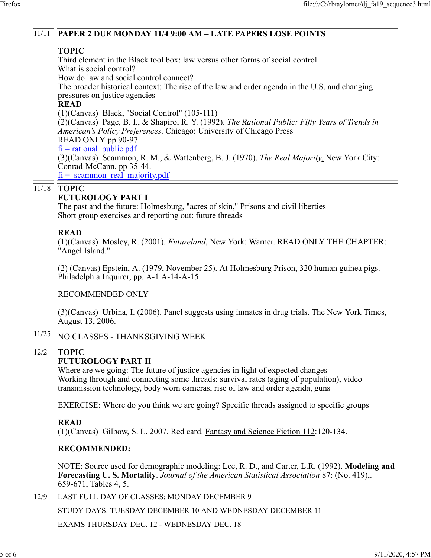|       | <b>TOPIC</b>                                                                                                                                                                                                                                                                               |  |  |  |  |  |  |  |
|-------|--------------------------------------------------------------------------------------------------------------------------------------------------------------------------------------------------------------------------------------------------------------------------------------------|--|--|--|--|--|--|--|
|       | Third element in the Black tool box: law versus other forms of social control                                                                                                                                                                                                              |  |  |  |  |  |  |  |
|       | What is social control?<br>How do law and social control connect?<br>The broader historical context: The rise of the law and order agenda in the U.S. and changing<br>pressures on justice agencies                                                                                        |  |  |  |  |  |  |  |
|       |                                                                                                                                                                                                                                                                                            |  |  |  |  |  |  |  |
|       |                                                                                                                                                                                                                                                                                            |  |  |  |  |  |  |  |
|       | <b>READ</b><br>$(1)$ (Canvas) Black, "Social Control" (105-111)                                                                                                                                                                                                                            |  |  |  |  |  |  |  |
|       | $(2)$ (Canvas) Page, B. I., & Shapiro, R. Y. (1992). The Rational Public: Fifty Years of Trends in<br>American's Policy Preferences. Chicago: University of Chicago Press                                                                                                                  |  |  |  |  |  |  |  |
|       | READ ONLY pp 90-97<br>$\overrightarrow{fi}$ = rational public.pdf                                                                                                                                                                                                                          |  |  |  |  |  |  |  |
|       | $(3)$ (Canvas) Scammon, R. M., & Wattenberg, B. J. (1970). The Real Majority. New York City:<br>Conrad-McCann. pp 35-44.<br>$fi =$ scammon real majority.pdf                                                                                                                               |  |  |  |  |  |  |  |
| 11/18 | <b>TOPIC</b>                                                                                                                                                                                                                                                                               |  |  |  |  |  |  |  |
|       | <b>FUTUROLOGY PART I</b><br>The past and the future: Holmesburg, "acres of skin," Prisons and civil liberties<br>Short group exercises and reporting out: future threads                                                                                                                   |  |  |  |  |  |  |  |
|       | <b>READ</b><br>$(1)$ (Canvas) Mosley, R. (2001). <i>Futureland</i> , New York: Warner. READ ONLY THE CHAPTER:<br>"Angel Island."                                                                                                                                                           |  |  |  |  |  |  |  |
|       | $(2)$ (Canvas) Epstein, A. (1979, November 25). At Holmesburg Prison, 320 human guinea pigs.<br>Philadelphia Inquirer, pp. A-1 A-14-A-15.                                                                                                                                                  |  |  |  |  |  |  |  |
|       | <b>RECOMMENDED ONLY</b>                                                                                                                                                                                                                                                                    |  |  |  |  |  |  |  |
|       | $(3)$ (Canvas) Urbina, I. (2006). Panel suggests using inmates in drug trials. The New York Times,<br>August 13, 2006.                                                                                                                                                                     |  |  |  |  |  |  |  |
|       | $\overline{11/25}$   NO CLASSES - THANKSGIVING WEEK                                                                                                                                                                                                                                        |  |  |  |  |  |  |  |
| 12/2  | <b>TOPIC</b>                                                                                                                                                                                                                                                                               |  |  |  |  |  |  |  |
|       | <b>FUTUROLOGY PART II</b><br>Where are we going: The future of justice agencies in light of expected changes<br>Working through and connecting some threads: survival rates (aging of population), video<br>transmission technology, body worn cameras, rise of law and order agenda, guns |  |  |  |  |  |  |  |
|       | EXERCISE: Where do you think we are going? Specific threads assigned to specific groups                                                                                                                                                                                                    |  |  |  |  |  |  |  |
|       | <b>READ</b><br>$(1)$ (Canvas) Gilbow, S. L. 2007. Red card. Fantasy and Science Fiction 112:120-134.                                                                                                                                                                                       |  |  |  |  |  |  |  |
|       | <b>RECOMMENDED:</b>                                                                                                                                                                                                                                                                        |  |  |  |  |  |  |  |
|       | NOTE: Source used for demographic modeling: Lee, R. D., and Carter, L.R. (1992). Modeling and<br><b>Forecasting U.S. Mortality</b> . Journal of the American Statistical Association 87: (No. 419),.<br>659-671, Tables 4, 5.                                                              |  |  |  |  |  |  |  |
| 12/9  | LAST FULL DAY OF CLASSES: MONDAY DECEMBER 9                                                                                                                                                                                                                                                |  |  |  |  |  |  |  |
|       | STUDY DAYS: TUESDAY DECEMBER 10 AND WEDNESDAY DECEMBER 11                                                                                                                                                                                                                                  |  |  |  |  |  |  |  |
|       |                                                                                                                                                                                                                                                                                            |  |  |  |  |  |  |  |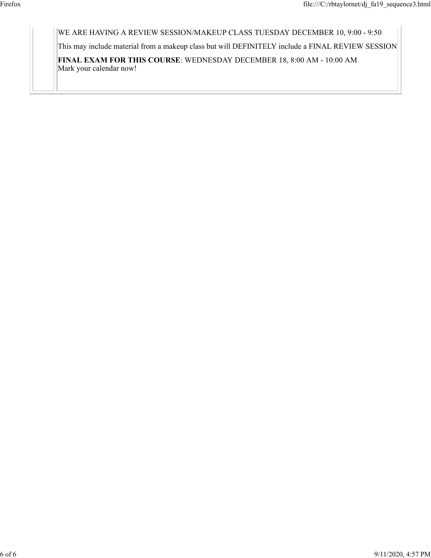WE ARE HAVING A REVIEW SESSION/MAKEUP CLASS TUESDAY DECEMBER 10, 9:00 - 9:50

This may include material from a makeup class but will DEFINITELY include a FINAL REVIEW SESSION

**FINAL EXAM FOR THIS COURSE**: WEDNESDAY DECEMBER 18, 8:00 AM - 10:00 AM Mark your calendar now!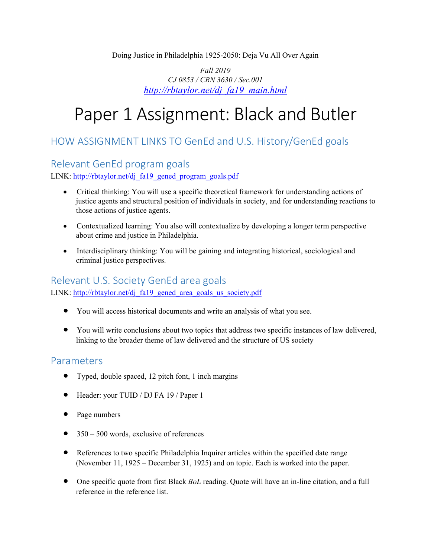#### Doing Justice in Philadelphia 1925-2050: Deja Vu All Over Again

*Fall 2019 CJ 0853 / CRN 3630 / Sec.001 http://rbtaylor.net/dj\_fa19\_main.html*

# Paper 1 Assignment: Black and Butler

## HOW ASSIGNMENT LINKS TO GenEd and U.S. History/GenEd goals

## Relevant GenEd program goals

LINK: http://rbtaylor.net/dj\_fa19\_gened\_program\_goals.pdf

- Critical thinking: You will use a specific theoretical framework for understanding actions of justice agents and structural position of individuals in society, and for understanding reactions to those actions of justice agents.
- Contextualized learning: You also will contextualize by developing a longer term perspective about crime and justice in Philadelphia.
- Interdisciplinary thinking: You will be gaining and integrating historical, sociological and criminal justice perspectives.

### Relevant U.S. Society GenEd area goals

LINK: http://rbtaylor.net/dj\_fa19\_gened\_area\_goals\_us\_society.pdf

- You will access historical documents and write an analysis of what you see.
- You will write conclusions about two topics that address two specific instances of law delivered, linking to the broader theme of law delivered and the structure of US society

## Parameters

- Typed, double spaced, 12 pitch font, 1 inch margins
- Header: your TUID / DJ FA 19 / Paper 1
- Page numbers
- $\bullet$  350 500 words, exclusive of references
- References to two specific Philadelphia Inquirer articles within the specified date range (November 11, 1925 – December 31, 1925) and on topic. Each is worked into the paper.
- One specific quote from first Black *BoL* reading. Quote will have an in-line citation, and a full reference in the reference list.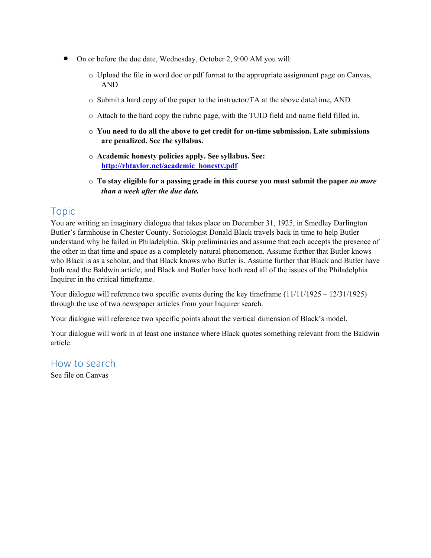- On or before the due date, Wednesday, October 2, 9:00 AM you will:
	- o Upload the file in word doc or pdf format to the appropriate assignment page on Canvas, AND
	- o Submit a hard copy of the paper to the instructor/TA at the above date/time, AND
	- o Attach to the hard copy the rubric page, with the TUID field and name field filled in.
	- o **You need to do all the above to get credit for on-time submission. Late submissions are penalized. See the syllabus.**
	- o **Academic honesty policies apply. See syllabus. See: http://rbtaylor.net/academic\_honesty.pdf**
	- o **To stay eligible for a passing grade in this course you must submit the paper** *no more than a week after the due date.*

## Topic

You are writing an imaginary dialogue that takes place on December 31, 1925, in Smedley Darlington Butler's farmhouse in Chester County. Sociologist Donald Black travels back in time to help Butler understand why he failed in Philadelphia. Skip preliminaries and assume that each accepts the presence of the other in that time and space as a completely natural phenomenon. Assume further that Butler knows who Black is as a scholar, and that Black knows who Butler is. Assume further that Black and Butler have both read the Baldwin article, and Black and Butler have both read all of the issues of the Philadelphia Inquirer in the critical timeframe.

Your dialogue will reference two specific events during the key timeframe (11/11/1925 – 12/31/1925) through the use of two newspaper articles from your Inquirer search.

Your dialogue will reference two specific points about the vertical dimension of Black's model.

Your dialogue will work in at least one instance where Black quotes something relevant from the Baldwin article.

### How to search

See file on Canvas